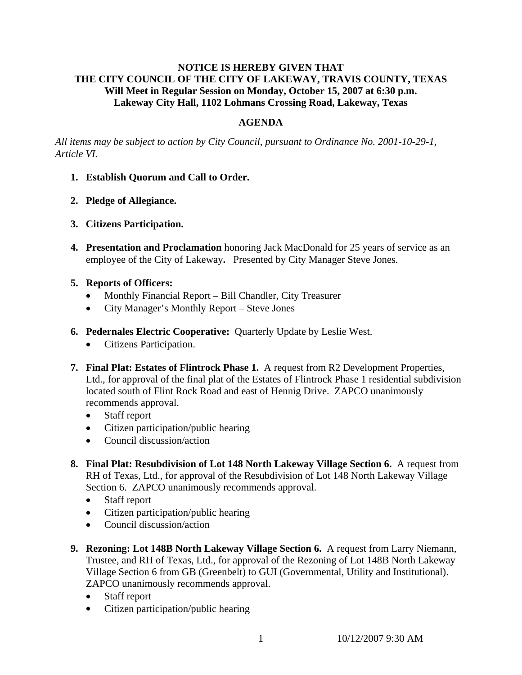## **NOTICE IS HEREBY GIVEN THAT THE CITY COUNCIL OF THE CITY OF LAKEWAY, TRAVIS COUNTY, TEXAS Will Meet in Regular Session on Monday, October 15, 2007 at 6:30 p.m. Lakeway City Hall, 1102 Lohmans Crossing Road, Lakeway, Texas**

## **AGENDA**

*All items may be subject to action by City Council, pursuant to Ordinance No. 2001-10-29-1, Article VI.* 

- **1. Establish Quorum and Call to Order.**
- **2. Pledge of Allegiance.**
- **3. Citizens Participation.**
- **4. Presentation and Proclamation** honoring Jack MacDonald for 25 years of service as an employee of the City of Lakeway**.** Presented by City Manager Steve Jones.
- **5. Reports of Officers:**
	- Monthly Financial Report Bill Chandler, City Treasurer
	- City Manager's Monthly Report Steve Jones
- **6. Pedernales Electric Cooperative:** Quarterly Update by Leslie West.
	- Citizens Participation.
- **7. Final Plat: Estates of Flintrock Phase 1.** A request from R2 Development Properties, Ltd., for approval of the final plat of the Estates of Flintrock Phase 1 residential subdivision located south of Flint Rock Road and east of Hennig Drive. ZAPCO unanimously recommends approval.
	- Staff report
	- Citizen participation/public hearing
	- Council discussion/action
- **8. Final Plat: Resubdivision of Lot 148 North Lakeway Village Section 6.** A request from RH of Texas, Ltd., for approval of the Resubdivision of Lot 148 North Lakeway Village Section 6. ZAPCO unanimously recommends approval.
	- Staff report
	- Citizen participation/public hearing
	- Council discussion/action
- **9. Rezoning: Lot 148B North Lakeway Village Section 6.** A request from Larry Niemann, Trustee, and RH of Texas, Ltd., for approval of the Rezoning of Lot 148B North Lakeway Village Section 6 from GB (Greenbelt) to GUI (Governmental, Utility and Institutional). ZAPCO unanimously recommends approval.
	- Staff report
	- Citizen participation/public hearing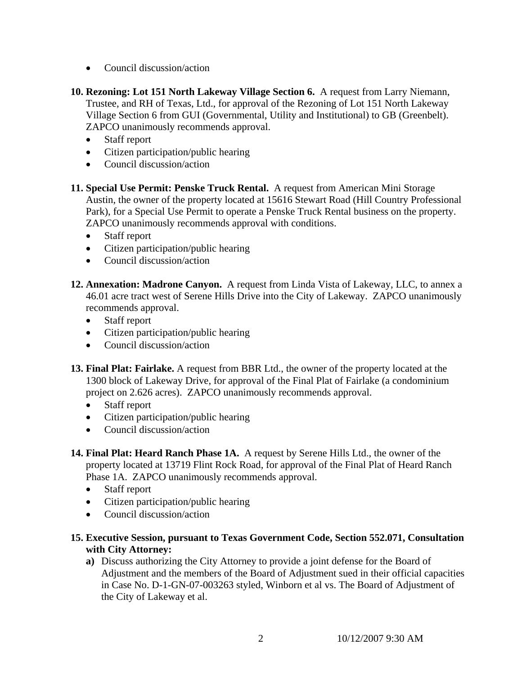- Council discussion/action
- **10. Rezoning: Lot 151 North Lakeway Village Section 6.** A request from Larry Niemann, Trustee, and RH of Texas, Ltd., for approval of the Rezoning of Lot 151 North Lakeway Village Section 6 from GUI (Governmental, Utility and Institutional) to GB (Greenbelt). ZAPCO unanimously recommends approval.
	- Staff report
	- Citizen participation/public hearing
	- Council discussion/action
- **11. Special Use Permit: Penske Truck Rental.** A request from American Mini Storage Austin, the owner of the property located at 15616 Stewart Road (Hill Country Professional Park), for a Special Use Permit to operate a Penske Truck Rental business on the property. ZAPCO unanimously recommends approval with conditions.
	- Staff report
	- Citizen participation/public hearing
	- Council discussion/action
- **12. Annexation: Madrone Canyon.** A request from Linda Vista of Lakeway, LLC, to annex a 46.01 acre tract west of Serene Hills Drive into the City of Lakeway. ZAPCO unanimously recommends approval.
	- Staff report
	- Citizen participation/public hearing
	- Council discussion/action
- **13. Final Plat: Fairlake.** A request from BBR Ltd., the owner of the property located at the 1300 block of Lakeway Drive, for approval of the Final Plat of Fairlake (a condominium project on 2.626 acres). ZAPCO unanimously recommends approval.
	- Staff report
	- Citizen participation/public hearing
	- Council discussion/action
- **14. Final Plat: Heard Ranch Phase 1A.** A request by Serene Hills Ltd., the owner of the property located at 13719 Flint Rock Road, for approval of the Final Plat of Heard Ranch Phase 1A. ZAPCO unanimously recommends approval.
	- Staff report
	- Citizen participation/public hearing
	- Council discussion/action
- **15. Executive Session, pursuant to Texas Government Code, Section 552.071, Consultation with City Attorney:** 
	- **a)** Discuss authorizing the City Attorney to provide a joint defense for the Board of Adjustment and the members of the Board of Adjustment sued in their official capacities in Case No. D-1-GN-07-003263 styled, Winborn et al vs. The Board of Adjustment of the City of Lakeway et al.